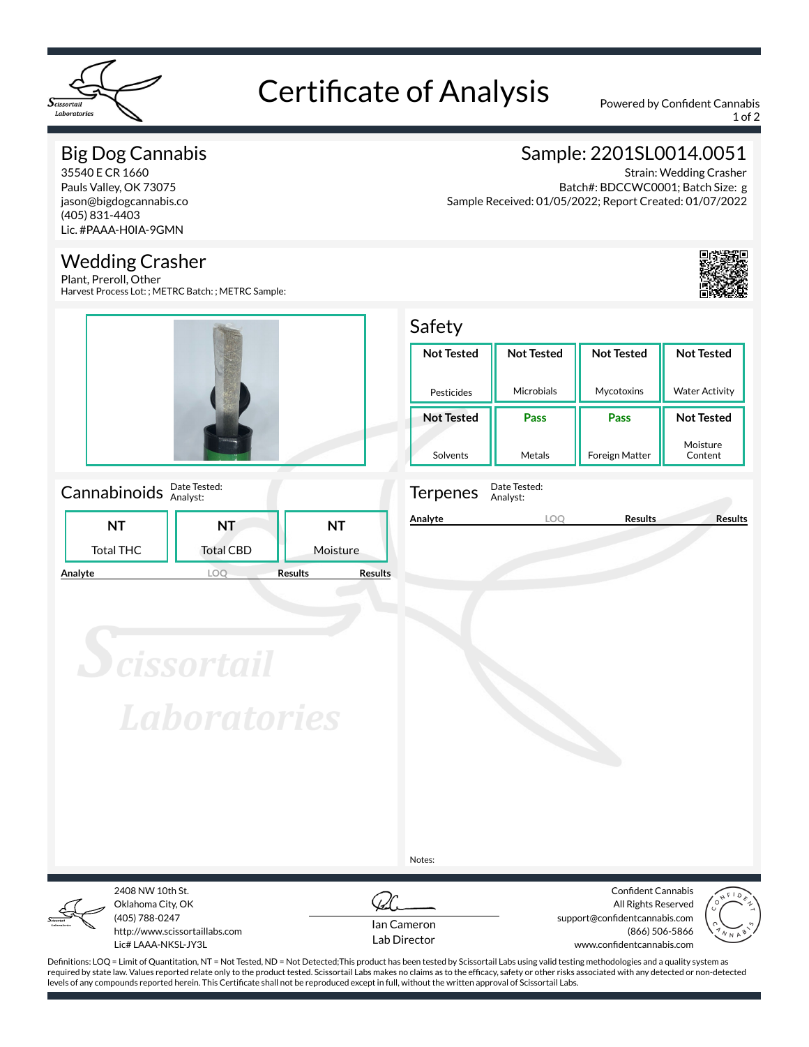

# Certificate of Analysis Powered by Confident Cannabis

1 of 2

## Big Dog Cannabis

35540 E CR 1660 Pauls Valley, OK 73075 jason@bigdogcannabis.co (405) 831-4403 Lic. #PAAA-H0IA-9GMN

#### Wedding Crasher

Plant, Preroll, Other Harvest Process Lot: ; METRC Batch: ; METRC Sample:



#### Cannabinoids **Date Tested:**

|         |                  | .                |                                  |
|---------|------------------|------------------|----------------------------------|
|         | NT               | <b>NT</b>        | NΤ                               |
|         | <b>Total THC</b> | <b>Total CBD</b> | Moisture                         |
| Analyte |                  |                  | <b>Results</b><br><b>Results</b> |

# Sample: 2201SL0014.0051

Strain: Wedding Crasher Batch#: BDCCWC0001; Batch Size: g Sample Received: 01/05/2022; Report Created: 01/07/2022



## Safety

| <b>Not Tested</b> | <b>Not Tested</b> | <b>Not Tested</b>     | <b>Not Tested</b>     |  |  |
|-------------------|-------------------|-----------------------|-----------------------|--|--|
|                   |                   |                       |                       |  |  |
|                   |                   |                       |                       |  |  |
| Pesticides        | Microbials        | Mycotoxins            | <b>Water Activity</b> |  |  |
|                   |                   |                       |                       |  |  |
| <b>Not Tested</b> | Pass              | Pass                  | <b>Not Tested</b>     |  |  |
|                   |                   |                       |                       |  |  |
|                   |                   |                       | Moisture              |  |  |
| Solvents          | Metals            | <b>Foreign Matter</b> | Content               |  |  |



Terpenes Date Tested: Analyst:

**Analyte LOQ Results Results**

**Scissortail Laboratories** 

Notes:



Oklahoma City, OK (405) 788-0247 http://www.scissortaillabs.com Lic# LAAA-NKSL-JY3L

2408 NW 10th St.



Confident Cannabis All Rights Reserved support@confidentcannabis.com (866) 506-5866 www.confidentcannabis.com



Definitions: LOQ = Limit of Quantitation, NT = Not Tested, ND = Not Detected;This product has been tested by Scissortail Labs using valid testing methodologies and a quality system as required by state law. Values reported relate only to the product tested. Scissortail Labs makes no claims as to the efficacy, safety or other risks associated with any detected or non-detected levels of any compounds reported herein. This Certificate shall not be reproduced except in full, without the written approval of Scissortail Labs.